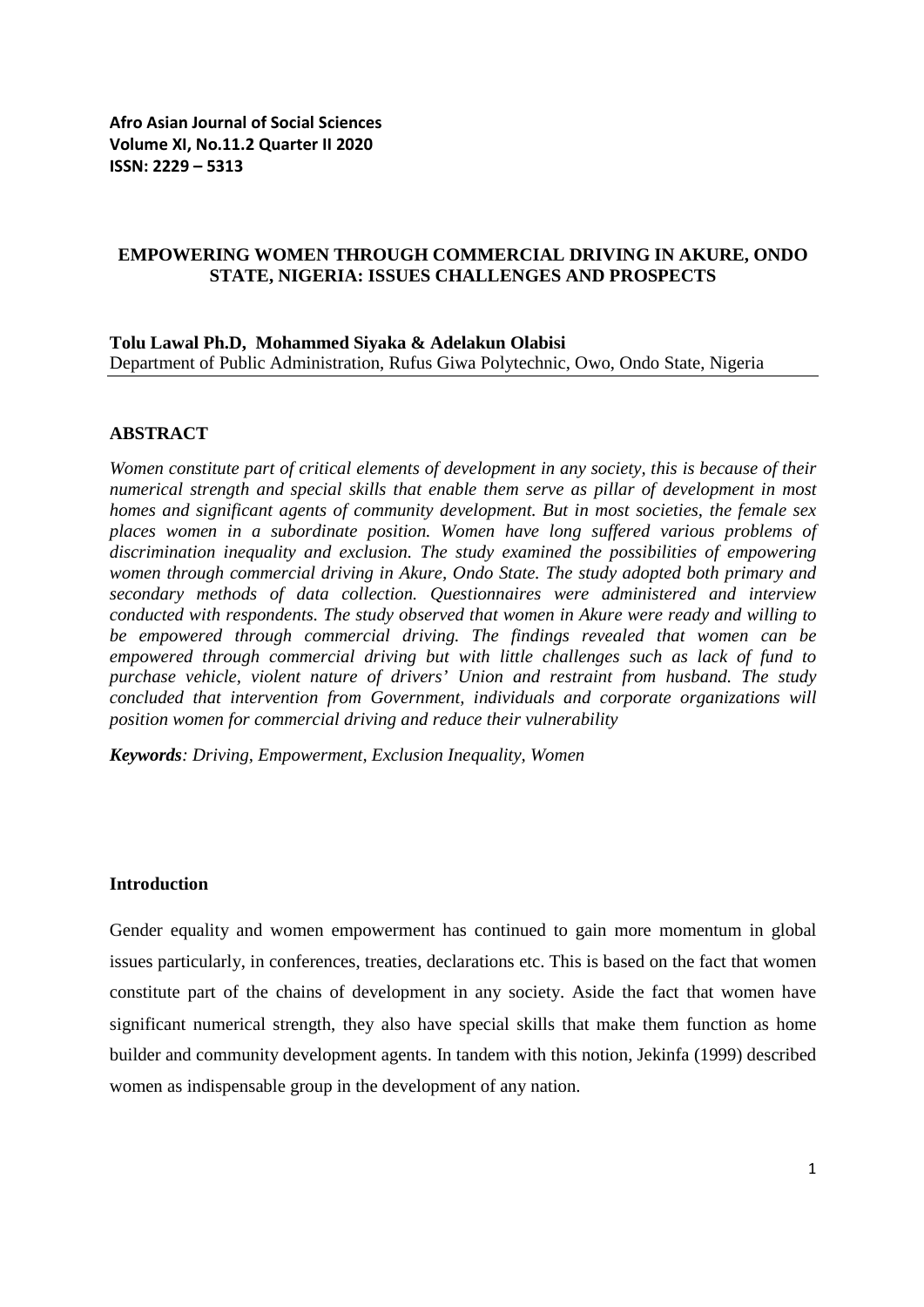#### **EMPOWERING WOMEN THROUGH COMMERCIAL DRIVING IN AKURE, ONDO STATE, NIGERIA: ISSUES CHALLENGES AND PROSPECTS**

#### **Tolu Lawal Ph.D, Mohammed Siyaka & Adelakun Olabisi** Department of Public Administration, Rufus Giwa Polytechnic, Owo, Ondo State, Nigeria

#### **ABSTRACT**

*Women constitute part of critical elements of development in any society, this is because of their numerical strength and special skills that enable them serve as pillar of development in most homes and significant agents of community development. But in most societies, the female sex places women in a subordinate position. Women have long suffered various problems of discrimination inequality and exclusion. The study examined the possibilities of empowering women through commercial driving in Akure, Ondo State. The study adopted both primary and secondary methods of data collection. Questionnaires were administered and interview conducted with respondents. The study observed that women in Akure were ready and willing to be empowered through commercial driving. The findings revealed that women can be empowered through commercial driving but with little challenges such as lack of fund to purchase vehicle, violent nature of drivers' Union and restraint from husband. The study concluded that intervention from Government, individuals and corporate organizations will position women for commercial driving and reduce their vulnerability*

*Keywords: Driving, Empowerment, Exclusion Inequality, Women* 

#### **Introduction**

Gender equality and women empowerment has continued to gain more momentum in global issues particularly, in conferences, treaties, declarations etc. This is based on the fact that women constitute part of the chains of development in any society. Aside the fact that women have significant numerical strength, they also have special skills that make them function as home builder and community development agents. In tandem with this notion, Jekinfa (1999) described women as indispensable group in the development of any nation.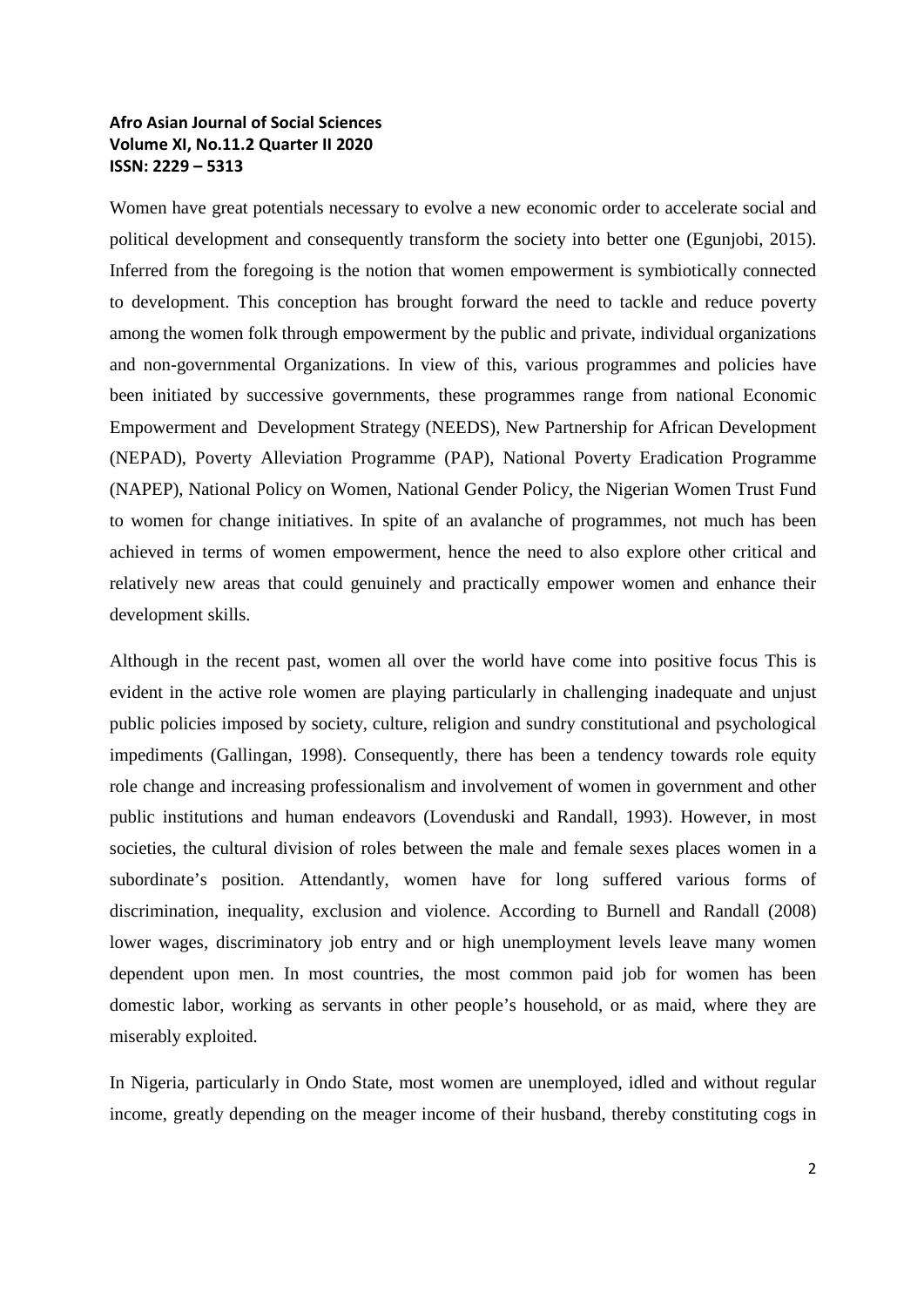Women have great potentials necessary to evolve a new economic order to accelerate social and political development and consequently transform the society into better one (Egunjobi, 2015). Inferred from the foregoing is the notion that women empowerment is symbiotically connected to development. This conception has brought forward the need to tackle and reduce poverty among the women folk through empowerment by the public and private, individual organizations and non-governmental Organizations. In view of this, various programmes and policies have been initiated by successive governments, these programmes range from national Economic Empowerment and Development Strategy (NEEDS), New Partnership for African Development (NEPAD), Poverty Alleviation Programme (PAP), National Poverty Eradication Programme (NAPEP), National Policy on Women, National Gender Policy, the Nigerian Women Trust Fund to women for change initiatives. In spite of an avalanche of programmes, not much has been achieved in terms of women empowerment, hence the need to also explore other critical and relatively new areas that could genuinely and practically empower women and enhance their development skills.

Although in the recent past, women all over the world have come into positive focus This is evident in the active role women are playing particularly in challenging inadequate and unjust public policies imposed by society, culture, religion and sundry constitutional and psychological impediments (Gallingan, 1998). Consequently, there has been a tendency towards role equity role change and increasing professionalism and involvement of women in government and other public institutions and human endeavors (Lovenduski and Randall, 1993). However, in most societies, the cultural division of roles between the male and female sexes places women in a subordinate's position. Attendantly, women have for long suffered various forms of discrimination, inequality, exclusion and violence. According to Burnell and Randall (2008) lower wages, discriminatory job entry and or high unemployment levels leave many women dependent upon men. In most countries, the most common paid job for women has been domestic labor, working as servants in other people's household, or as maid, where they are miserably exploited.

In Nigeria, particularly in Ondo State, most women are unemployed, idled and without regular income, greatly depending on the meager income of their husband, thereby constituting cogs in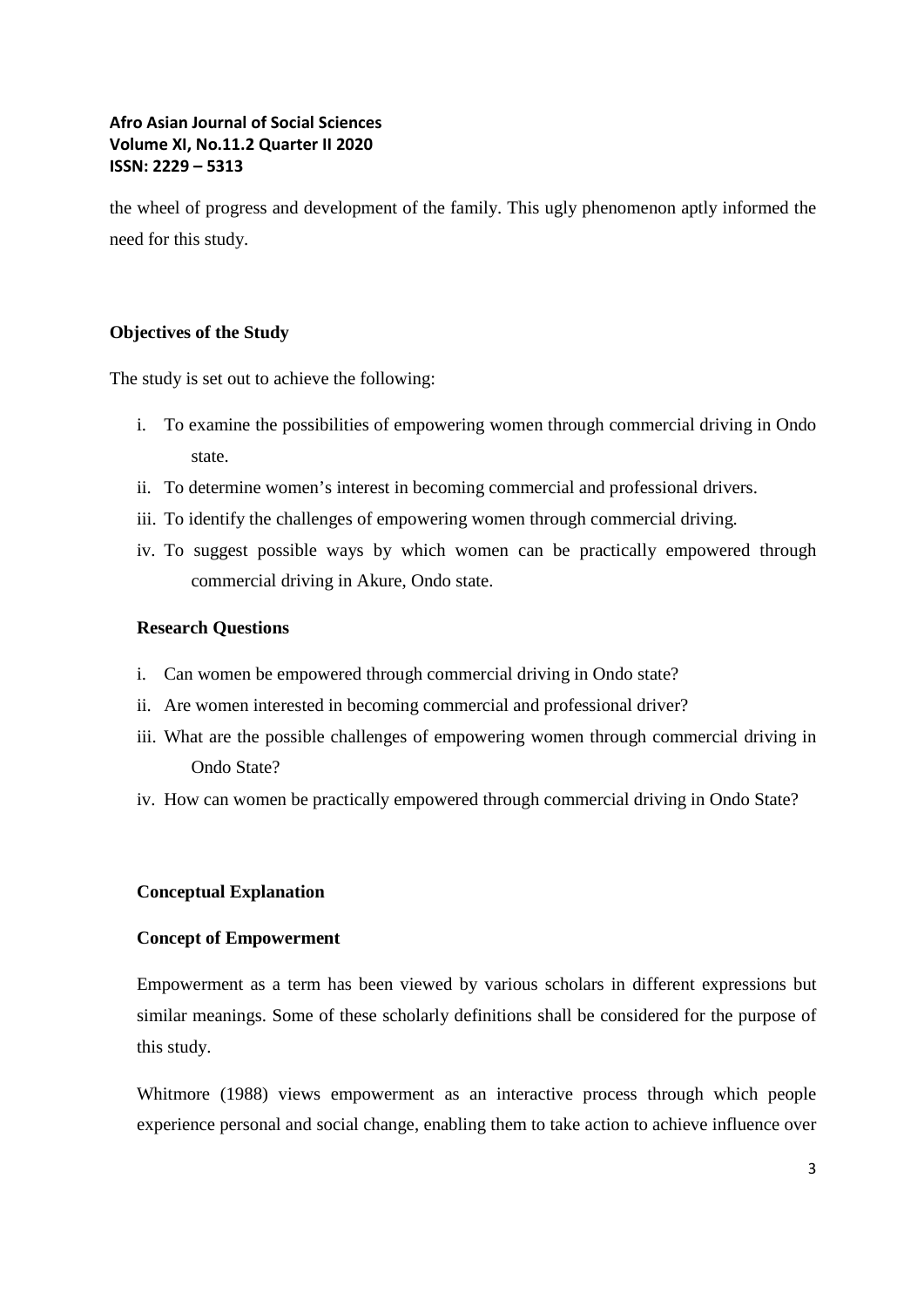the wheel of progress and development of the family. This ugly phenomenon aptly informed the need for this study.

## **Objectives of the Study**

The study is set out to achieve the following:

- i. To examine the possibilities of empowering women through commercial driving in Ondo state.
- ii. To determine women's interest in becoming commercial and professional drivers.
- iii. To identify the challenges of empowering women through commercial driving.
- iv. To suggest possible ways by which women can be practically empowered through commercial driving in Akure, Ondo state.

## **Research Questions**

- i. Can women be empowered through commercial driving in Ondo state?
- ii. Are women interested in becoming commercial and professional driver?
- iii. What are the possible challenges of empowering women through commercial driving in Ondo State?
- iv. How can women be practically empowered through commercial driving in Ondo State?

## **Conceptual Explanation**

#### **Concept of Empowerment**

Empowerment as a term has been viewed by various scholars in different expressions but similar meanings. Some of these scholarly definitions shall be considered for the purpose of this study.

Whitmore (1988) views empowerment as an interactive process through which people experience personal and social change, enabling them to take action to achieve influence over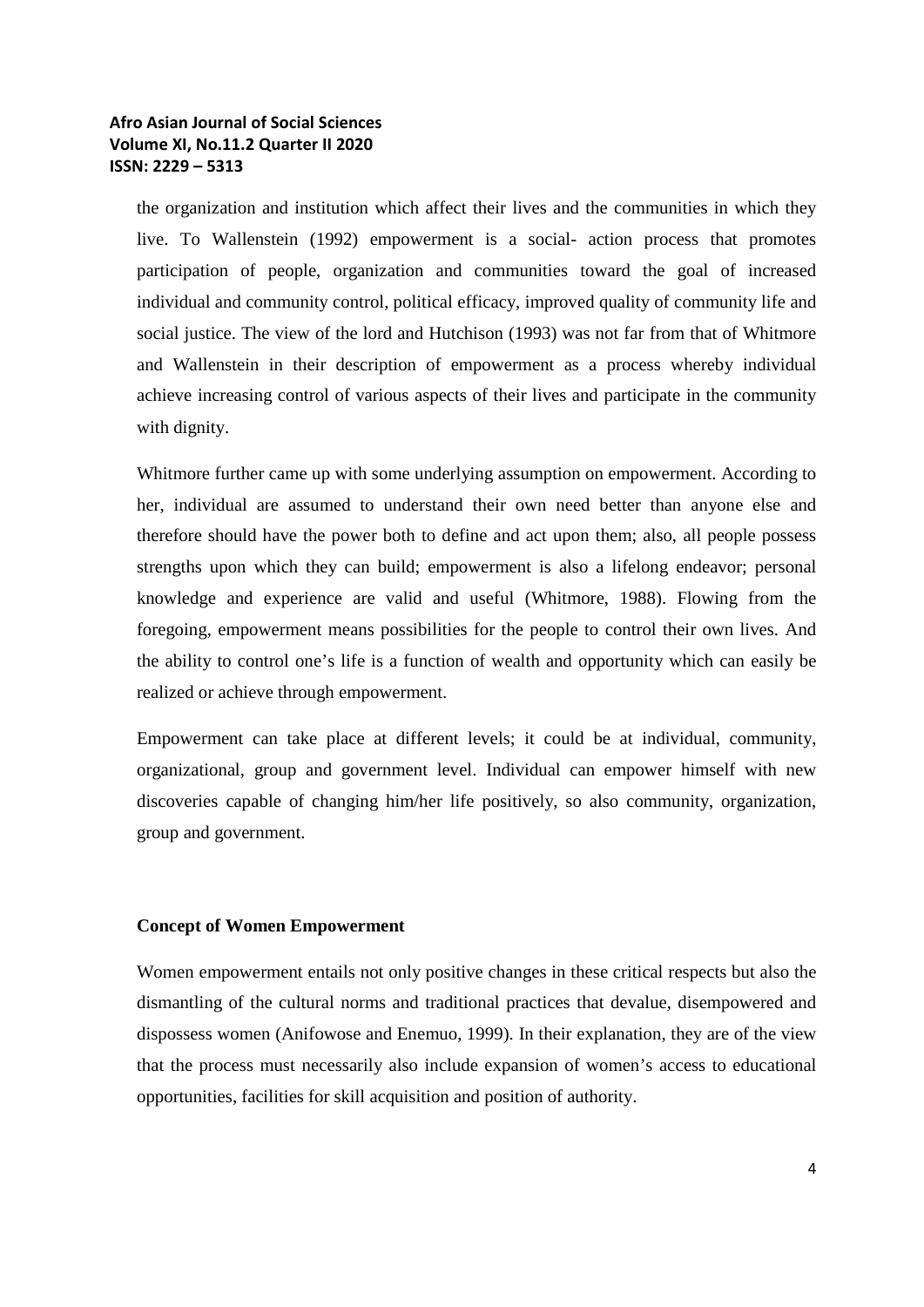the organization and institution which affect their lives and the communities in which they live. To Wallenstein (1992) empowerment is a social- action process that promotes participation of people, organization and communities toward the goal of increased individual and community control, political efficacy, improved quality of community life and social justice. The view of the lord and Hutchison (1993) was not far from that of Whitmore and Wallenstein in their description of empowerment as a process whereby individual achieve increasing control of various aspects of their lives and participate in the community with dignity.

Whitmore further came up with some underlying assumption on empowerment. According to her, individual are assumed to understand their own need better than anyone else and therefore should have the power both to define and act upon them; also, all people possess strengths upon which they can build; empowerment is also a lifelong endeavor; personal knowledge and experience are valid and useful (Whitmore, 1988). Flowing from the foregoing, empowerment means possibilities for the people to control their own lives. And the ability to control one's life is a function of wealth and opportunity which can easily be realized or achieve through empowerment.

Empowerment can take place at different levels; it could be at individual, community, organizational, group and government level. Individual can empower himself with new discoveries capable of changing him/her life positively, so also community, organization, group and government.

#### **Concept of Women Empowerment**

Women empowerment entails not only positive changes in these critical respects but also the dismantling of the cultural norms and traditional practices that devalue, disempowered and dispossess women (Anifowose and Enemuo, 1999). In their explanation, they are of the view that the process must necessarily also include expansion of women's access to educational opportunities, facilities for skill acquisition and position of authority.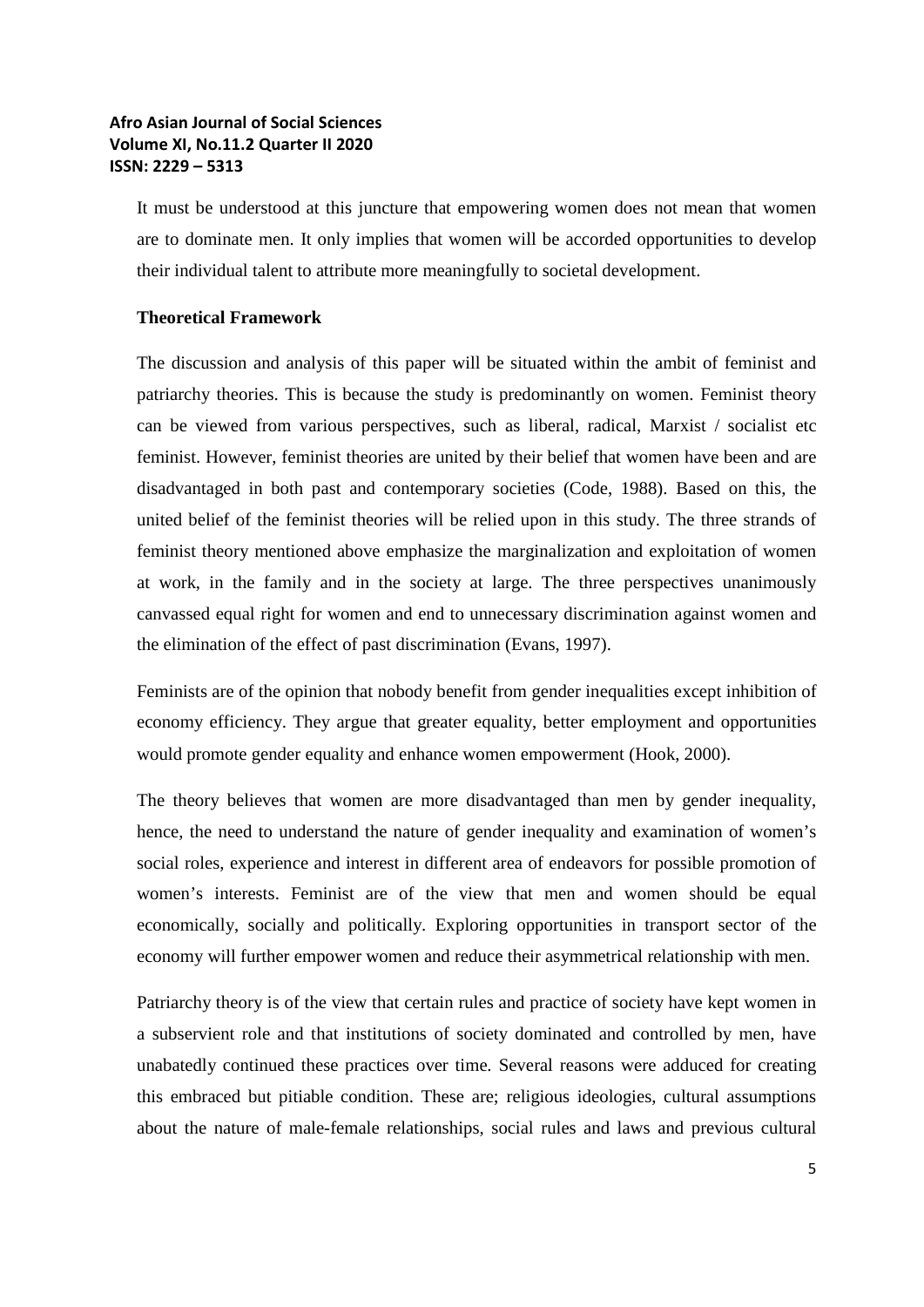It must be understood at this juncture that empowering women does not mean that women are to dominate men. It only implies that women will be accorded opportunities to develop their individual talent to attribute more meaningfully to societal development.

#### **Theoretical Framework**

The discussion and analysis of this paper will be situated within the ambit of feminist and patriarchy theories. This is because the study is predominantly on women. Feminist theory can be viewed from various perspectives, such as liberal, radical, Marxist / socialist etc feminist. However, feminist theories are united by their belief that women have been and are disadvantaged in both past and contemporary societies (Code, 1988). Based on this, the united belief of the feminist theories will be relied upon in this study. The three strands of feminist theory mentioned above emphasize the marginalization and exploitation of women at work, in the family and in the society at large. The three perspectives unanimously canvassed equal right for women and end to unnecessary discrimination against women and the elimination of the effect of past discrimination (Evans, 1997).

Feminists are of the opinion that nobody benefit from gender inequalities except inhibition of economy efficiency. They argue that greater equality, better employment and opportunities would promote gender equality and enhance women empowerment (Hook, 2000).

The theory believes that women are more disadvantaged than men by gender inequality, hence, the need to understand the nature of gender inequality and examination of women's social roles, experience and interest in different area of endeavors for possible promotion of women's interests. Feminist are of the view that men and women should be equal economically, socially and politically. Exploring opportunities in transport sector of the economy will further empower women and reduce their asymmetrical relationship with men.

Patriarchy theory is of the view that certain rules and practice of society have kept women in a subservient role and that institutions of society dominated and controlled by men, have unabatedly continued these practices over time. Several reasons were adduced for creating this embraced but pitiable condition. These are; religious ideologies, cultural assumptions about the nature of male-female relationships, social rules and laws and previous cultural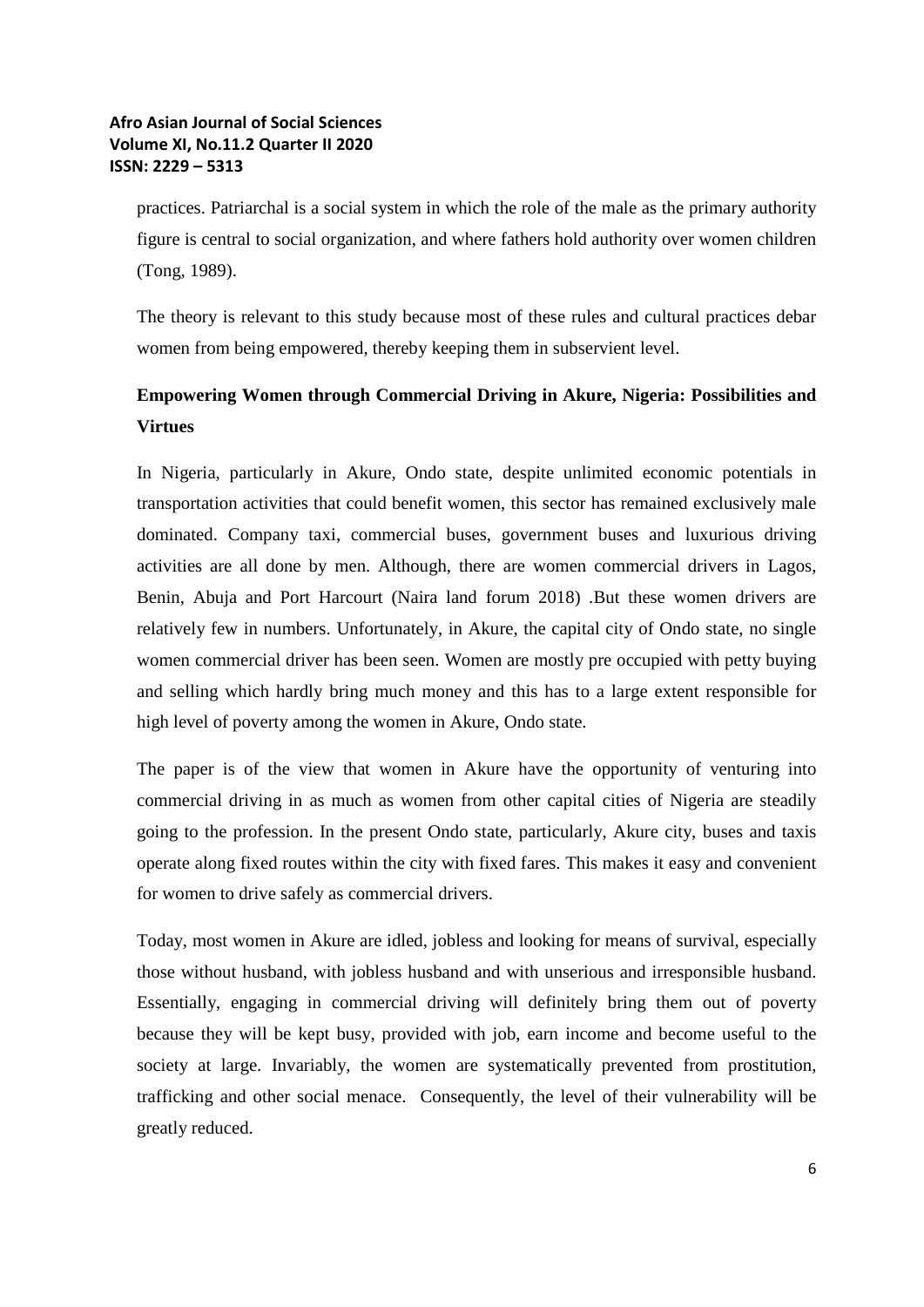practices. Patriarchal is a social system in which the role of the male as the primary authority figure is central to social organization, and where fathers hold authority over women children (Tong, 1989).

The theory is relevant to this study because most of these rules and cultural practices debar women from being empowered, thereby keeping them in subservient level.

# **Empowering Women through Commercial Driving in Akure, Nigeria: Possibilities and Virtues**

In Nigeria, particularly in Akure, Ondo state, despite unlimited economic potentials in transportation activities that could benefit women, this sector has remained exclusively male dominated. Company taxi, commercial buses, government buses and luxurious driving activities are all done by men. Although, there are women commercial drivers in Lagos, Benin, Abuja and Port Harcourt (Naira land forum 2018) .But these women drivers are relatively few in numbers. Unfortunately, in Akure, the capital city of Ondo state, no single women commercial driver has been seen. Women are mostly pre occupied with petty buying and selling which hardly bring much money and this has to a large extent responsible for high level of poverty among the women in Akure, Ondo state.

The paper is of the view that women in Akure have the opportunity of venturing into commercial driving in as much as women from other capital cities of Nigeria are steadily going to the profession. In the present Ondo state, particularly, Akure city, buses and taxis operate along fixed routes within the city with fixed fares. This makes it easy and convenient for women to drive safely as commercial drivers.

Today, most women in Akure are idled, jobless and looking for means of survival, especially those without husband, with jobless husband and with unserious and irresponsible husband. Essentially, engaging in commercial driving will definitely bring them out of poverty because they will be kept busy, provided with job, earn income and become useful to the society at large. Invariably, the women are systematically prevented from prostitution, trafficking and other social menace. Consequently, the level of their vulnerability will be greatly reduced.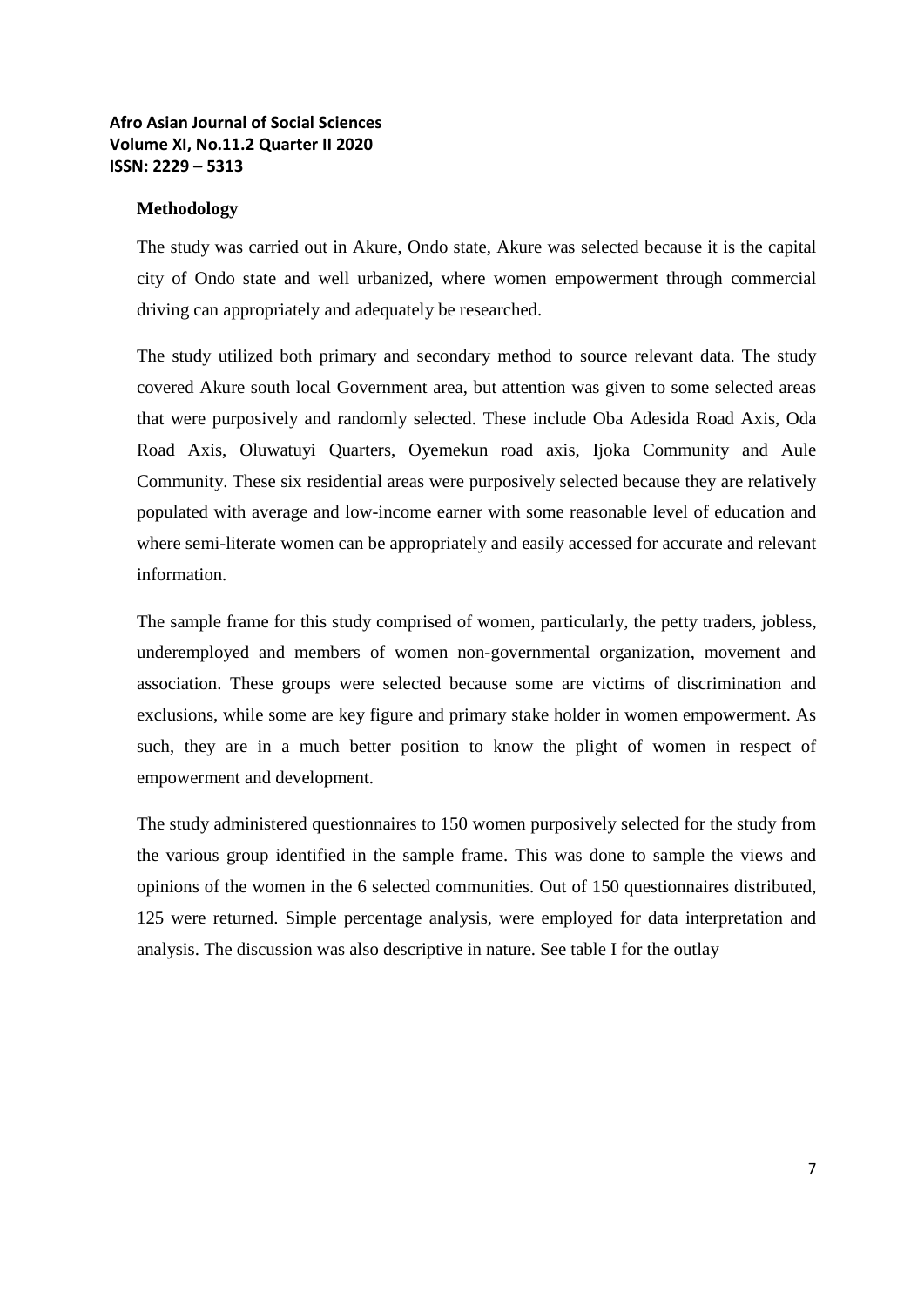#### **Methodology**

The study was carried out in Akure, Ondo state, Akure was selected because it is the capital city of Ondo state and well urbanized, where women empowerment through commercial driving can appropriately and adequately be researched.

The study utilized both primary and secondary method to source relevant data. The study covered Akure south local Government area, but attention was given to some selected areas that were purposively and randomly selected. These include Oba Adesida Road Axis, Oda Road Axis, Oluwatuyi Quarters, Oyemekun road axis, Ijoka Community and Aule Community. These six residential areas were purposively selected because they are relatively populated with average and low-income earner with some reasonable level of education and where semi-literate women can be appropriately and easily accessed for accurate and relevant information.

The sample frame for this study comprised of women, particularly, the petty traders, jobless, underemployed and members of women non-governmental organization, movement and association. These groups were selected because some are victims of discrimination and exclusions, while some are key figure and primary stake holder in women empowerment. As such, they are in a much better position to know the plight of women in respect of empowerment and development.

The study administered questionnaires to 150 women purposively selected for the study from the various group identified in the sample frame. This was done to sample the views and opinions of the women in the 6 selected communities. Out of 150 questionnaires distributed, 125 were returned. Simple percentage analysis, were employed for data interpretation and analysis. The discussion was also descriptive in nature. See table I for the outlay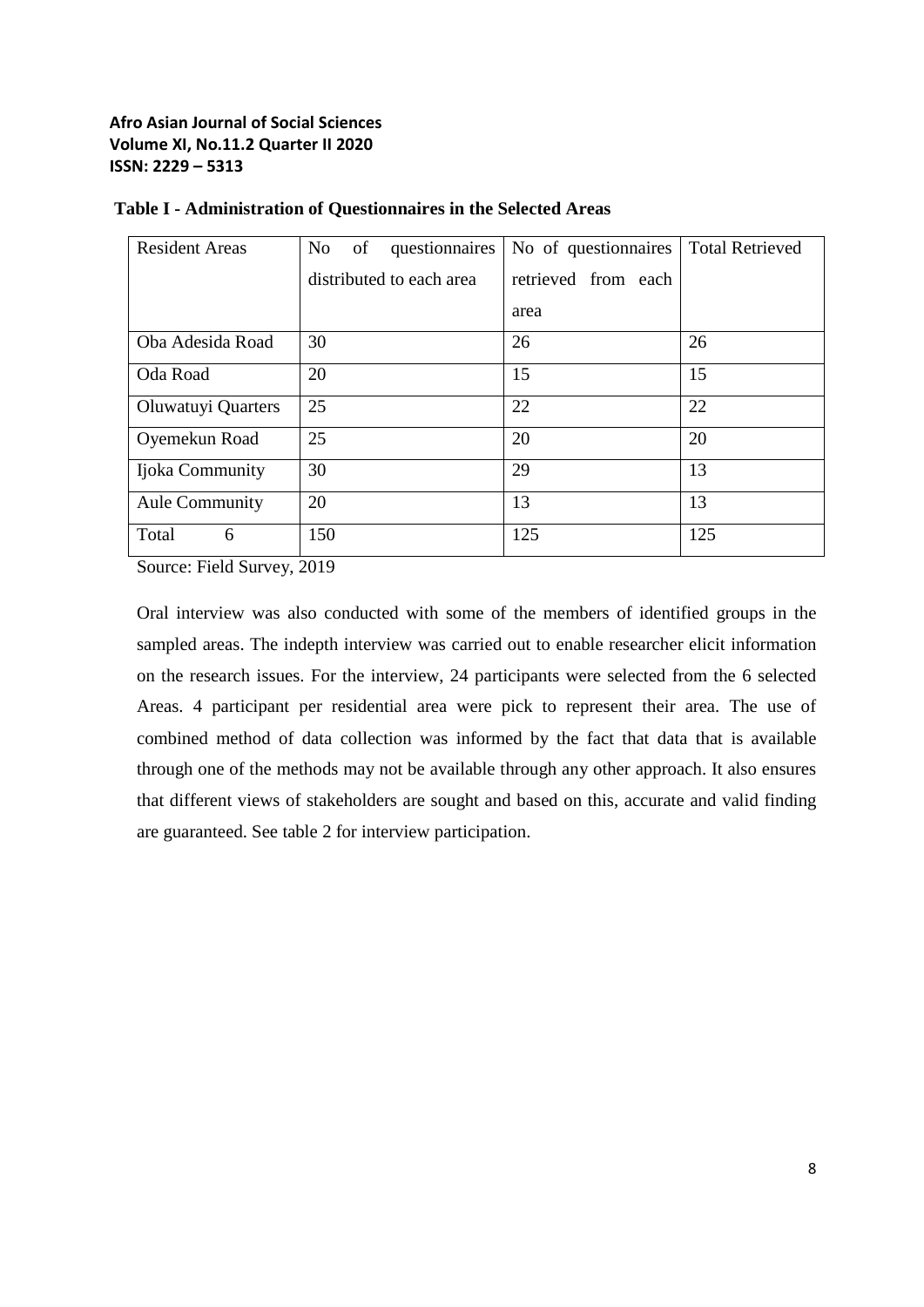| <b>Resident Areas</b> | N <sub>0</sub><br>of<br>questionnaires | No of questionnaires | <b>Total Retrieved</b> |
|-----------------------|----------------------------------------|----------------------|------------------------|
|                       | distributed to each area               | retrieved from each  |                        |
|                       |                                        | area                 |                        |
| Oba Adesida Road      | 30                                     | 26                   | 26                     |
| Oda Road              | 20                                     | 15                   | 15                     |
| Oluwatuyi Quarters    | 25                                     | 22                   | 22                     |
| Oyemekun Road         | 25                                     | 20                   | 20                     |
| Ijoka Community       | 30                                     | 29                   | 13                     |
| <b>Aule Community</b> | 20                                     | 13                   | 13                     |
| Total<br>6            | 150                                    | 125                  | 125                    |

#### **Table I - Administration of Questionnaires in the Selected Areas**

Source: Field Survey, 2019

Oral interview was also conducted with some of the members of identified groups in the sampled areas. The indepth interview was carried out to enable researcher elicit information on the research issues. For the interview, 24 participants were selected from the 6 selected Areas. 4 participant per residential area were pick to represent their area. The use of combined method of data collection was informed by the fact that data that is available through one of the methods may not be available through any other approach. It also ensures that different views of stakeholders are sought and based on this, accurate and valid finding are guaranteed. See table 2 for interview participation.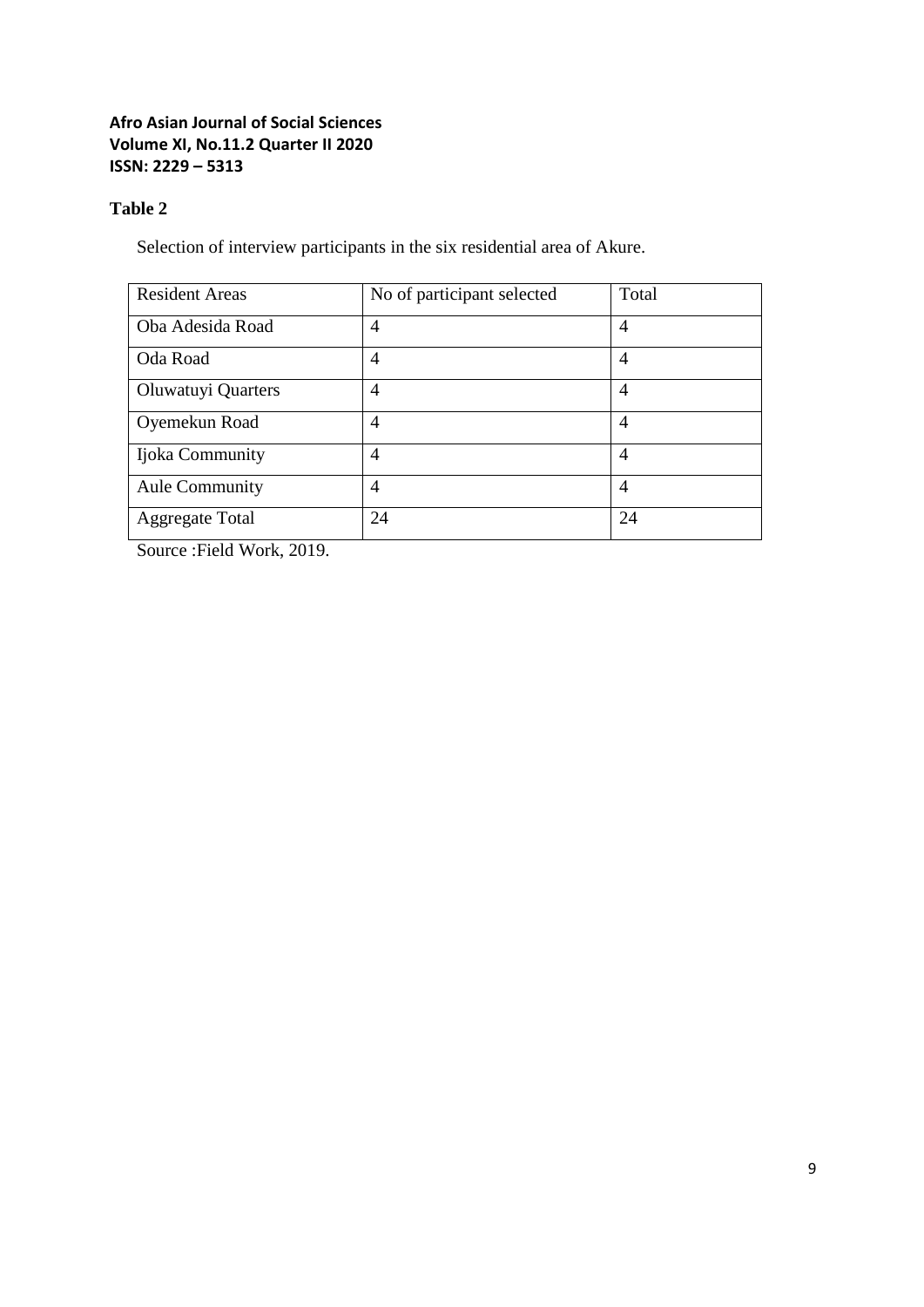## **Table 2**

Selection of interview participants in the six residential area of Akure.

| <b>Resident Areas</b>  | No of participant selected | Total          |
|------------------------|----------------------------|----------------|
| Oba Adesida Road       | 4                          | $\overline{4}$ |
| Oda Road               | 4                          | $\overline{4}$ |
| Oluwatuyi Quarters     | 4                          | $\overline{4}$ |
| Oyemekun Road          | 4                          | $\overline{4}$ |
| Ijoka Community        | 4                          | $\overline{4}$ |
| <b>Aule Community</b>  | 4                          | $\overline{4}$ |
| <b>Aggregate Total</b> | 24                         | 24             |

Source :Field Work, 2019.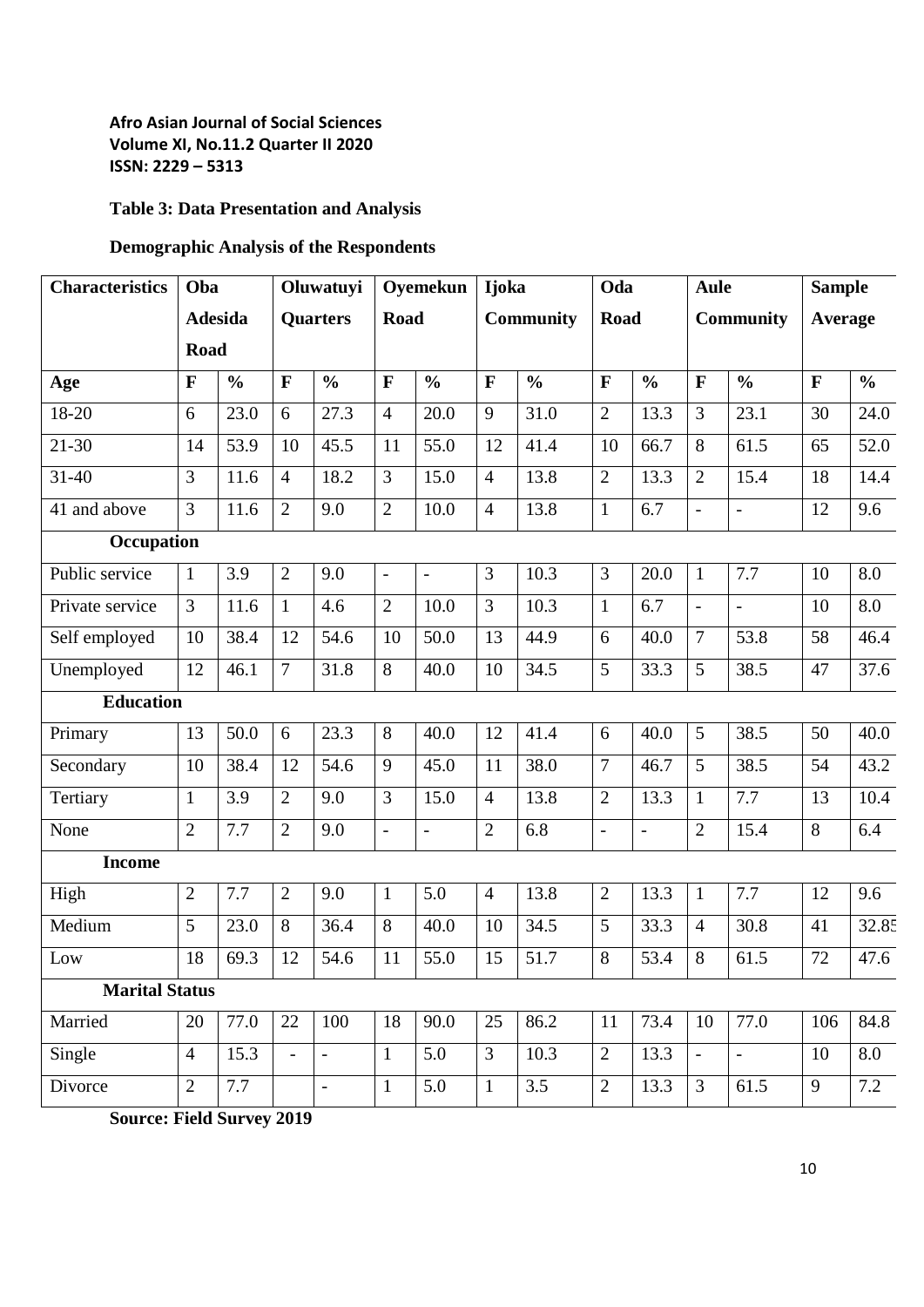# **Table 3: Data Presentation and Analysis**

# **Demographic Analysis of the Respondents**

| <b>Characteristics</b> | Oba            |                                   | Oluwatuyi      |                | Oyemekun       |                          | <b>Ijoka</b>   |               | Oda            |                  | <b>Aule</b>    |                | <b>Sample</b> |               |
|------------------------|----------------|-----------------------------------|----------------|----------------|----------------|--------------------------|----------------|---------------|----------------|------------------|----------------|----------------|---------------|---------------|
|                        |                | <b>Adesida</b><br><b>Quarters</b> |                | Road           |                | <b>Community</b>         |                | Road          |                | <b>Community</b> |                | Average        |               |               |
|                        | Road           |                                   |                |                |                |                          |                |               |                |                  |                |                |               |               |
| Age                    | $\mathbf{F}$   | $\frac{0}{0}$                     | $\mathbf{F}$   | $\frac{6}{6}$  | $\mathbf{F}$   | $\frac{0}{0}$            | $\mathbf{F}$   | $\frac{0}{0}$ | F              | $\frac{0}{0}$    | F              | $\frac{0}{0}$  | $\mathbf F$   | $\frac{0}{0}$ |
| 18-20                  | 6              | 23.0                              | 6              | 27.3           | $\overline{4}$ | 20.0                     | 9              | 31.0          | $\overline{2}$ | 13.3             | 3              | 23.1           | 30            | 24.0          |
| $21 - 30$              | 14             | 53.9                              | 10             | 45.5           | 11             | 55.0                     | 12             | 41.4          | 10             | 66.7             | 8              | 61.5           | 65            | 52.0          |
| $31 - 40$              | 3              | 11.6                              | $\overline{4}$ | 18.2           | 3              | 15.0                     | $\overline{4}$ | 13.8          | $\overline{2}$ | 13.3             | $\overline{2}$ | 15.4           | 18            | 14.4          |
| 41 and above           | $\overline{3}$ | 11.6                              | $\overline{2}$ | 9.0            | $\overline{2}$ | 10.0                     | $\overline{4}$ | 13.8          | $\mathbf{1}$   | 6.7              |                | $\frac{1}{2}$  | 12            | 9.6           |
| Occupation             |                |                                   |                |                |                |                          |                |               |                |                  |                |                |               |               |
| Public service         | $\mathbf{1}$   | 3.9                               | $\overline{2}$ | 9.0            | ä,             | ÷,                       | $\overline{3}$ | 10.3          | $\overline{3}$ | 20.0             | $\mathbf{1}$   | 7.7            | 10            | 8.0           |
| Private service        | $\overline{3}$ | 11.6                              | $\mathbf{1}$   | 4.6            | $\overline{2}$ | 10.0                     | $\overline{3}$ | 10.3          | $\mathbf{1}$   | 6.7              |                | $\blacksquare$ | 10            | 8.0           |
| Self employed          | 10             | 38.4                              | 12             | 54.6           | 10             | 50.0                     | 13             | 44.9          | 6              | 40.0             | $\overline{7}$ | 53.8           | 58            | 46.4          |
| Unemployed             | 12             | 46.1                              | $\overline{7}$ | 31.8           | 8              | 40.0                     | 10             | 34.5          | 5              | 33.3             | 5              | 38.5           | 47            | 37.6          |
| <b>Education</b>       |                |                                   |                |                |                |                          |                |               |                |                  |                |                |               |               |
| Primary                | 13             | 50.0                              | 6              | 23.3           | 8              | 40.0                     | 12             | 41.4          | 6              | 40.0             | 5              | 38.5           | 50            | 40.0          |
| Secondary              | 10             | 38.4                              | 12             | 54.6           | 9              | 45.0                     | 11             | 38.0          | 7              | 46.7             | 5              | 38.5           | 54            | 43.2          |
| Tertiary               | $\mathbf{1}$   | 3.9                               | $\overline{2}$ | 9.0            | 3              | 15.0                     | $\overline{4}$ | 13.8          | $\overline{2}$ | 13.3             | $\mathbf{1}$   | 7.7            | 13            | 10.4          |
| None                   | 2              | 7.7                               | $\overline{2}$ | 9.0            | $\equiv$       | $\overline{\phantom{a}}$ | $\overline{2}$ | 6.8           | $\blacksquare$ | $\equiv$         | $\overline{2}$ | 15.4           | $\,8\,$       | 6.4           |
| <b>Income</b>          |                |                                   |                |                |                |                          |                |               |                |                  |                |                |               |               |
| High                   | $\mathbf{2}$   | 7.7                               | $\overline{2}$ | 9.0            | $\mathbf{1}$   | 5.0                      | $\overline{4}$ | 13.8          | $\mathbf{2}$   | 13.3             | $\mathbf{1}$   | 7.7            | 12            | 9.6           |
| Medium                 | 5              | 23.0                              | 8              | 36.4           | 8              | 40.0                     | 10             | 34.5          | 5              | 33.3             | $\overline{4}$ | 30.8           | 41            | 32.85         |
| Low                    | 18             | 69.3                              | 12             | 54.6           | 11             | 55.0                     | 15             | 51.7          | 8              | 53.4             | 8              | 61.5           | 72            | 47.6          |
| <b>Marital Status</b>  |                |                                   |                |                |                |                          |                |               |                |                  |                |                |               |               |
| Married                | 20             | 77.0                              | 22             | 100            | 18             | 90.0                     | 25             | 86.2          | 11             | 73.4             | 10             | 77.0           | 106           | 84.8          |
| Single                 | $\overline{4}$ | 15.3                              | $\frac{1}{2}$  | $\blacksquare$ | $\mathbf{1}$   | 5.0                      | 3              | 10.3          | $\overline{2}$ | 13.3             | $\blacksquare$ | $\blacksquare$ | 10            | 8.0           |
| Divorce                | $\overline{2}$ | 7.7                               |                | $\blacksquare$ | $\mathbf{1}$   | 5.0                      | $\mathbf{1}$   | 3.5           | $\overline{2}$ | 13.3             | $\mathfrak{Z}$ | 61.5           | 9             | 7.2           |
|                        |                |                                   |                |                |                |                          |                |               |                |                  |                |                |               |               |

**Source: Field Survey 2019**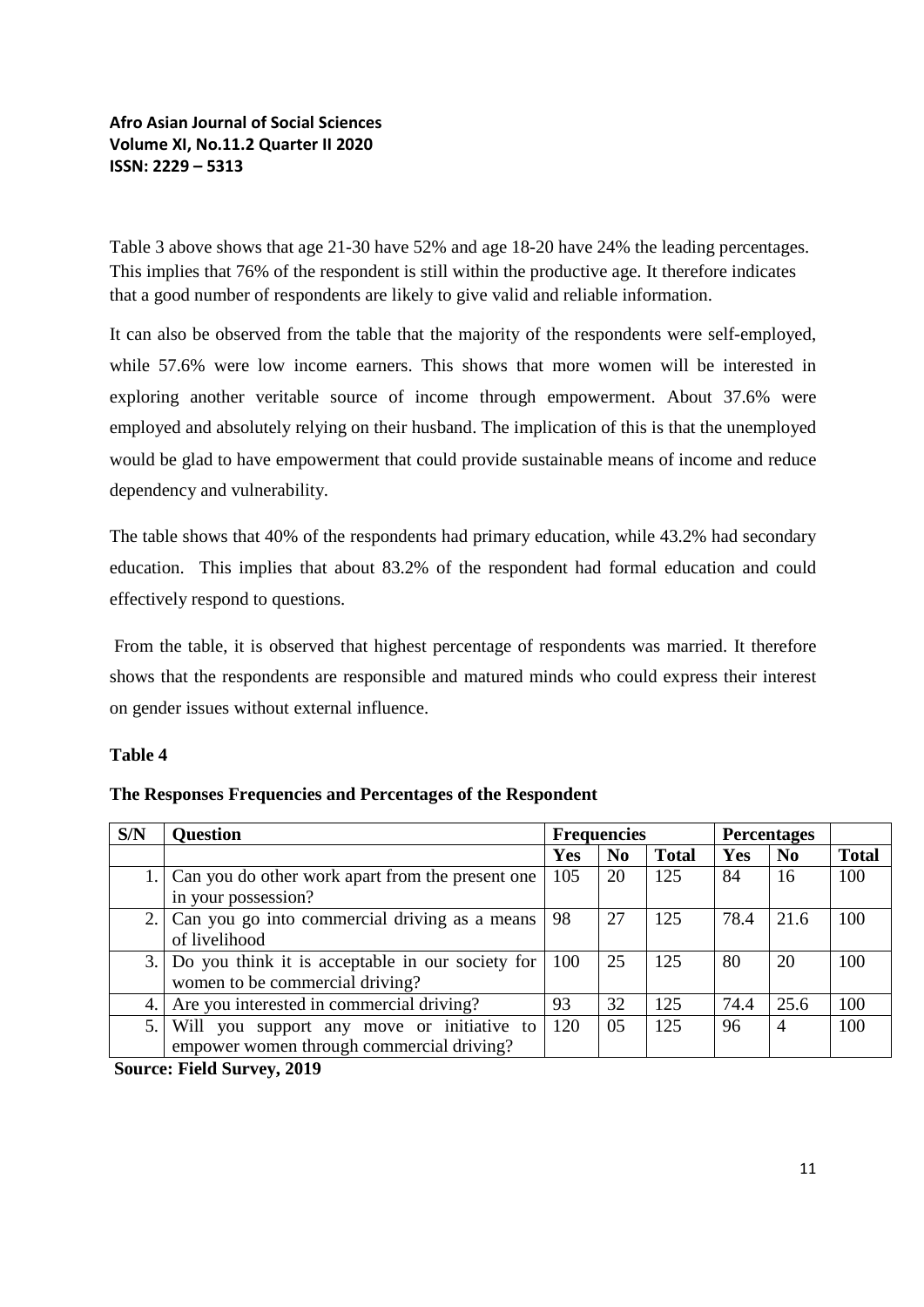Table 3 above shows that age 21-30 have 52% and age 18-20 have 24% the leading percentages. This implies that 76% of the respondent is still within the productive age. It therefore indicates that a good number of respondents are likely to give valid and reliable information.

It can also be observed from the table that the majority of the respondents were self-employed, while 57.6% were low income earners. This shows that more women will be interested in exploring another veritable source of income through empowerment. About 37.6% were employed and absolutely relying on their husband. The implication of this is that the unemployed would be glad to have empowerment that could provide sustainable means of income and reduce dependency and vulnerability.

The table shows that 40% of the respondents had primary education, while 43.2% had secondary education. This implies that about 83.2% of the respondent had formal education and could effectively respond to questions.

From the table, it is observed that highest percentage of respondents was married. It therefore shows that the respondents are responsible and matured minds who could express their interest on gender issues without external influence.

#### **Table 4**

| S/N | <b>Question</b>                                     |            | <b>Frequencies</b> |              | <b>Percentages</b> |                |              |
|-----|-----------------------------------------------------|------------|--------------------|--------------|--------------------|----------------|--------------|
|     |                                                     | <b>Yes</b> | N <sub>0</sub>     | <b>Total</b> | Yes                | N <sub>0</sub> | <b>Total</b> |
|     | 1. Can you do other work apart from the present one | 105        | 20                 | 125          | 84                 | 16             | 100          |
|     | in your possession?                                 |            |                    |              |                    |                |              |
|     | 2. Can you go into commercial driving as a means    | 98         | 27                 | 125          | 78.4               | 21.6           | 100          |
|     | of livelihood                                       |            |                    |              |                    |                |              |
|     | 3. Do you think it is acceptable in our society for | 100        | 25                 | 125          | 80                 | 20             | 100          |
|     | women to be commercial driving?                     |            |                    |              |                    |                |              |
| 4.  | Are you interested in commercial driving?           | 93         | 32                 | 125          | 74.4               | 25.6           | 100          |
| 5.  | Will you support any move or initiative to          | 120        | 05                 | 125          | 96                 | $\overline{4}$ | 100          |
|     | empower women through commercial driving?           |            |                    |              |                    |                |              |

**The Responses Frequencies and Percentages of the Respondent**

**Source: Field Survey, 2019**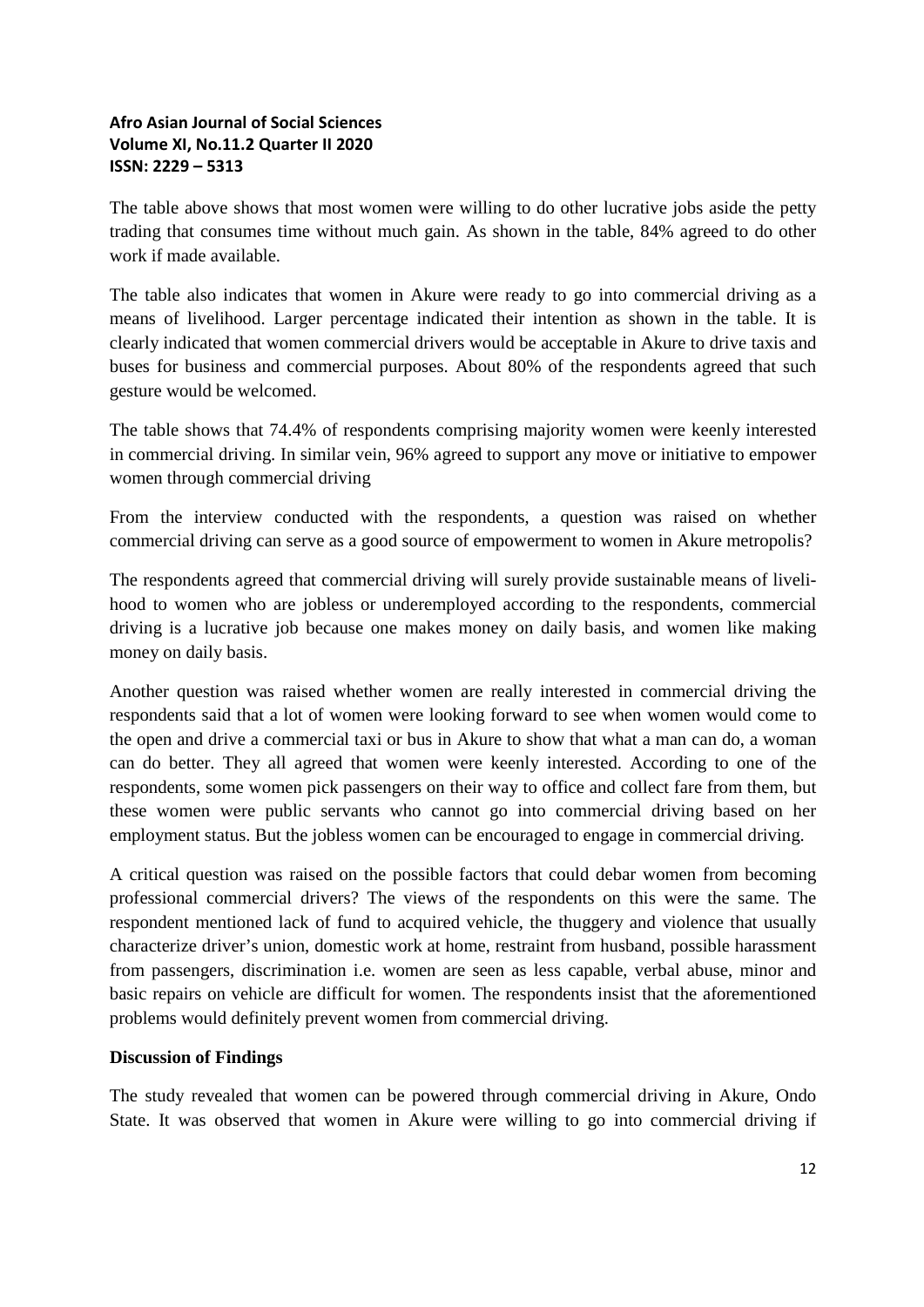The table above shows that most women were willing to do other lucrative jobs aside the petty trading that consumes time without much gain. As shown in the table, 84% agreed to do other work if made available.

The table also indicates that women in Akure were ready to go into commercial driving as a means of livelihood. Larger percentage indicated their intention as shown in the table. It is clearly indicated that women commercial drivers would be acceptable in Akure to drive taxis and buses for business and commercial purposes. About 80% of the respondents agreed that such gesture would be welcomed.

The table shows that 74.4% of respondents comprising majority women were keenly interested in commercial driving. In similar vein, 96% agreed to support any move or initiative to empower women through commercial driving

From the interview conducted with the respondents, a question was raised on whether commercial driving can serve as a good source of empowerment to women in Akure metropolis?

The respondents agreed that commercial driving will surely provide sustainable means of livelihood to women who are jobless or underemployed according to the respondents, commercial driving is a lucrative job because one makes money on daily basis, and women like making money on daily basis.

Another question was raised whether women are really interested in commercial driving the respondents said that a lot of women were looking forward to see when women would come to the open and drive a commercial taxi or bus in Akure to show that what a man can do, a woman can do better. They all agreed that women were keenly interested. According to one of the respondents, some women pick passengers on their way to office and collect fare from them, but these women were public servants who cannot go into commercial driving based on her employment status. But the jobless women can be encouraged to engage in commercial driving.

A critical question was raised on the possible factors that could debar women from becoming professional commercial drivers? The views of the respondents on this were the same. The respondent mentioned lack of fund to acquired vehicle, the thuggery and violence that usually characterize driver's union, domestic work at home, restraint from husband, possible harassment from passengers, discrimination i.e. women are seen as less capable, verbal abuse, minor and basic repairs on vehicle are difficult for women. The respondents insist that the aforementioned problems would definitely prevent women from commercial driving.

## **Discussion of Findings**

The study revealed that women can be powered through commercial driving in Akure, Ondo State. It was observed that women in Akure were willing to go into commercial driving if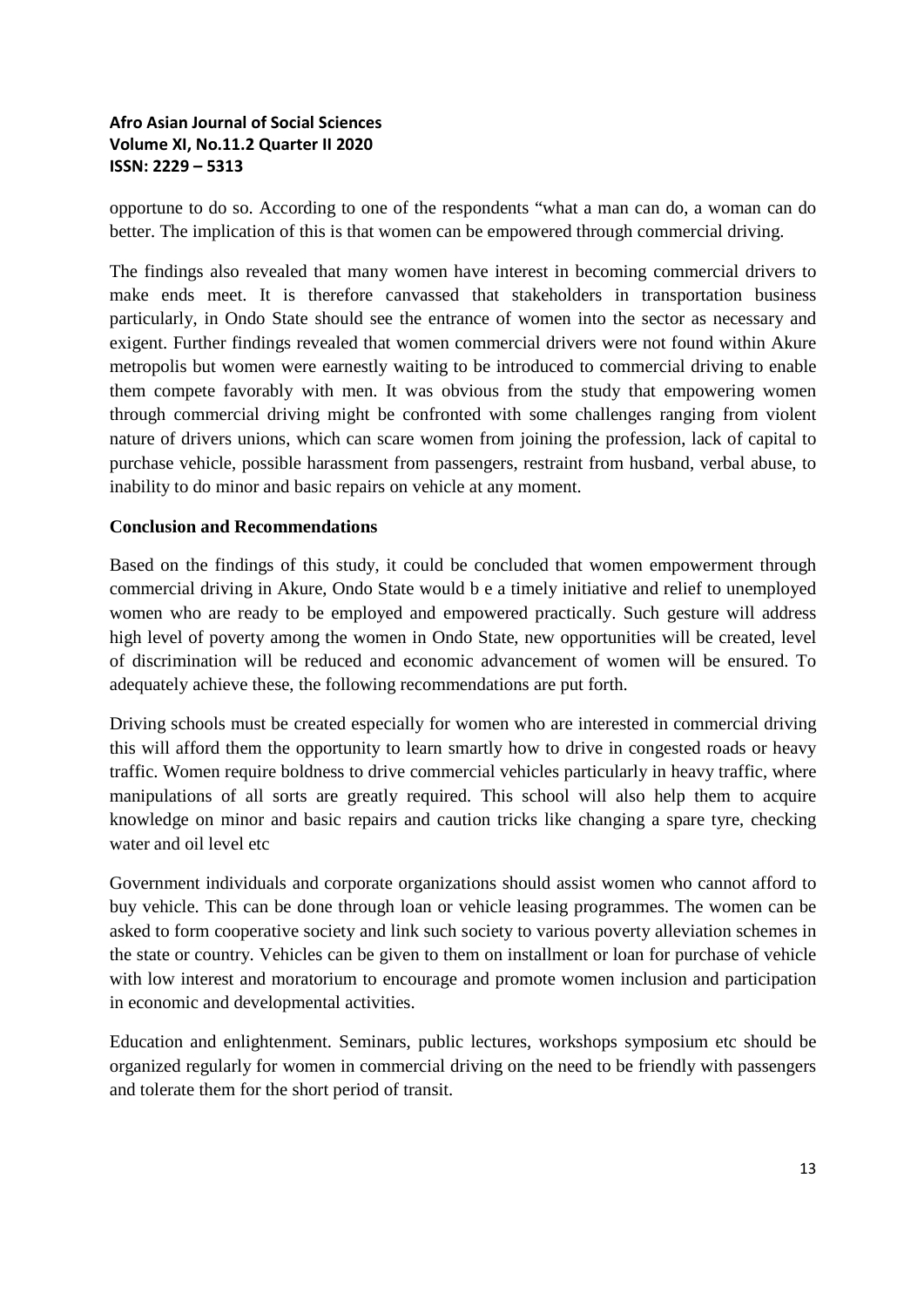opportune to do so. According to one of the respondents "what a man can do, a woman can do better. The implication of this is that women can be empowered through commercial driving.

The findings also revealed that many women have interest in becoming commercial drivers to make ends meet. It is therefore canvassed that stakeholders in transportation business particularly, in Ondo State should see the entrance of women into the sector as necessary and exigent. Further findings revealed that women commercial drivers were not found within Akure metropolis but women were earnestly waiting to be introduced to commercial driving to enable them compete favorably with men. It was obvious from the study that empowering women through commercial driving might be confronted with some challenges ranging from violent nature of drivers unions, which can scare women from joining the profession, lack of capital to purchase vehicle, possible harassment from passengers, restraint from husband, verbal abuse, to inability to do minor and basic repairs on vehicle at any moment.

#### **Conclusion and Recommendations**

Based on the findings of this study, it could be concluded that women empowerment through commercial driving in Akure, Ondo State would b e a timely initiative and relief to unemployed women who are ready to be employed and empowered practically. Such gesture will address high level of poverty among the women in Ondo State, new opportunities will be created, level of discrimination will be reduced and economic advancement of women will be ensured. To adequately achieve these, the following recommendations are put forth.

Driving schools must be created especially for women who are interested in commercial driving this will afford them the opportunity to learn smartly how to drive in congested roads or heavy traffic. Women require boldness to drive commercial vehicles particularly in heavy traffic, where manipulations of all sorts are greatly required. This school will also help them to acquire knowledge on minor and basic repairs and caution tricks like changing a spare tyre, checking water and oil level etc.

Government individuals and corporate organizations should assist women who cannot afford to buy vehicle. This can be done through loan or vehicle leasing programmes. The women can be asked to form cooperative society and link such society to various poverty alleviation schemes in the state or country. Vehicles can be given to them on installment or loan for purchase of vehicle with low interest and moratorium to encourage and promote women inclusion and participation in economic and developmental activities.

Education and enlightenment. Seminars, public lectures, workshops symposium etc should be organized regularly for women in commercial driving on the need to be friendly with passengers and tolerate them for the short period of transit.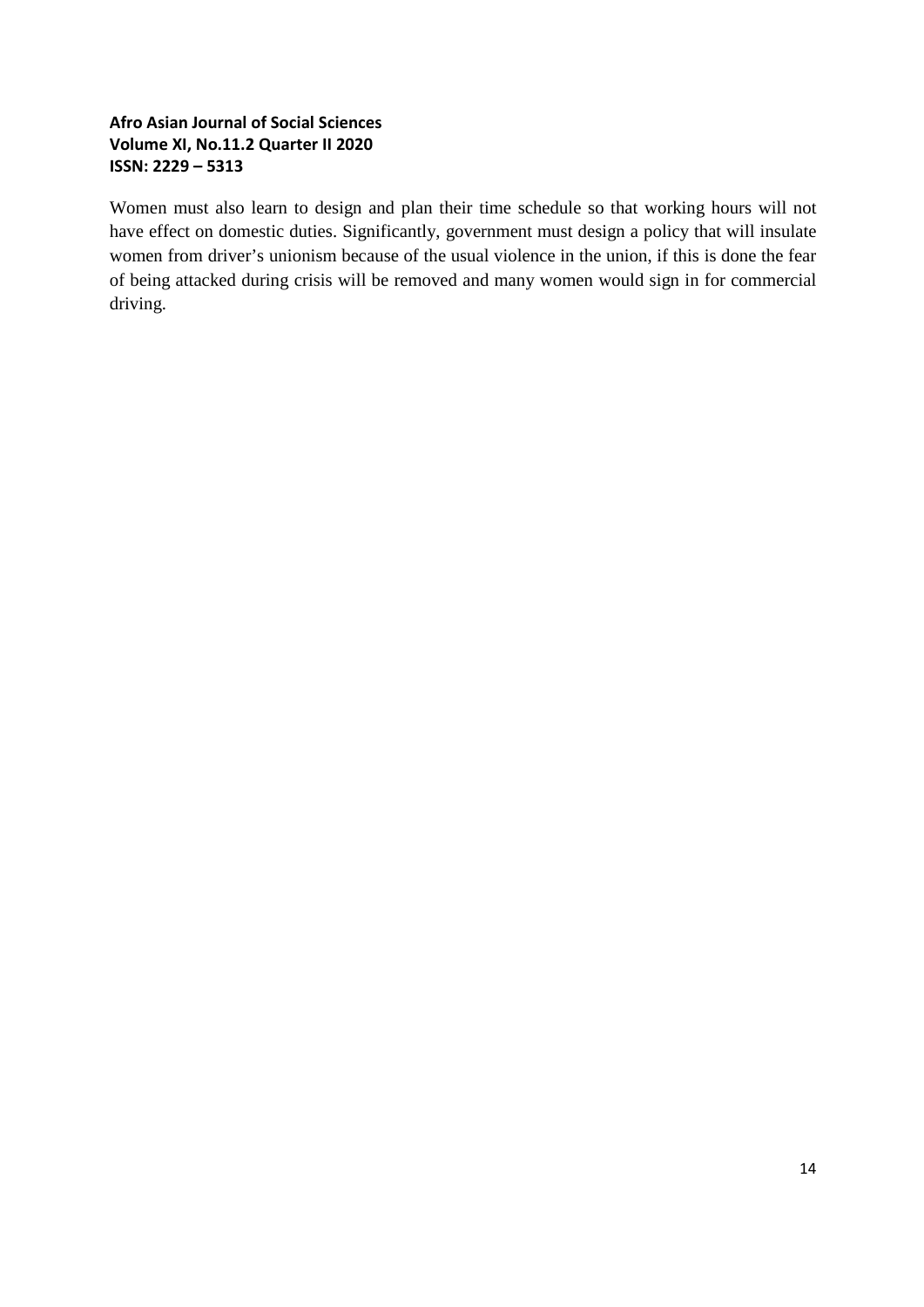Women must also learn to design and plan their time schedule so that working hours will not have effect on domestic duties. Significantly, government must design a policy that will insulate women from driver's unionism because of the usual violence in the union, if this is done the fear of being attacked during crisis will be removed and many women would sign in for commercial driving.